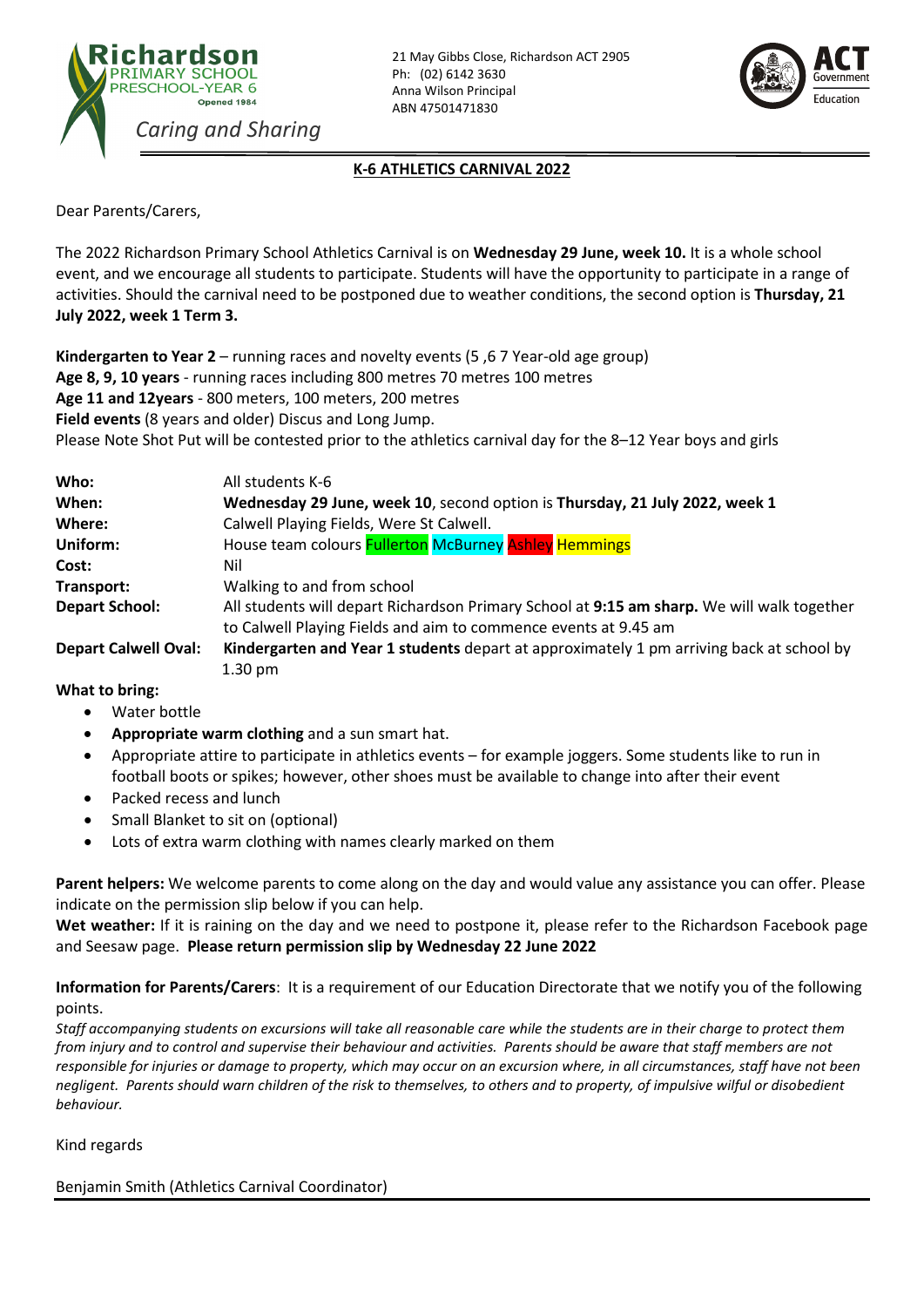



## **K-6 ATHLETICS CARNIVAL 2022**

Dear Parents/Carers,

The 2022 Richardson Primary School Athletics Carnival is on **Wednesday 29 June, week 10.** It is a whole school event, and we encourage all students to participate. Students will have the opportunity to participate in a range of activities. Should the carnival need to be postponed due to weather conditions, the second option is **Thursday, 21 July 2022, week 1 Term 3.**

**Kindergarten to Year 2** – running races and novelty events (5 ,6 7 Year-old age group) **Age 8, 9, 10 years** - running races including 800 metres 70 metres 100 metres **Age 11 and 12years** - 800 meters, 100 meters, 200 metres **Field events** (8 years and older) Discus and Long Jump. Please Note Shot Put will be contested prior to the athletics carnival day for the 8–12 Year boys and girls

| Who:                        | All students K-6                                                                                                                                              |
|-----------------------------|---------------------------------------------------------------------------------------------------------------------------------------------------------------|
| When:                       | Wednesday 29 June, week 10, second option is Thursday, 21 July 2022, week 1                                                                                   |
| Where:                      | Calwell Playing Fields, Were St Calwell.                                                                                                                      |
| Uniform:                    | House team colours <b>Fullerton McBurney Ashley Hemmings</b>                                                                                                  |
| Cost:                       | Nil                                                                                                                                                           |
| Transport:                  | Walking to and from school                                                                                                                                    |
| <b>Depart School:</b>       | All students will depart Richardson Primary School at 9:15 am sharp. We will walk together<br>to Calwell Playing Fields and aim to commence events at 9.45 am |
| <b>Depart Calwell Oval:</b> | Kindergarten and Year 1 students depart at approximately 1 pm arriving back at school by                                                                      |
|                             | $1.30 \text{ pm}$                                                                                                                                             |

## **What to bring:**

- Water bottle
- **Appropriate warm clothing** and a sun smart hat.
- Appropriate attire to participate in athletics events for example joggers. Some students like to run in football boots or spikes; however, other shoes must be available to change into after their event
- Packed recess and lunch
- Small Blanket to sit on (optional)
- Lots of extra warm clothing with names clearly marked on them

**Parent helpers:** We welcome parents to come along on the day and would value any assistance you can offer. Please indicate on the permission slip below if you can help.

**Wet weather:** If it is raining on the day and we need to postpone it, please refer to the Richardson Facebook page and Seesaw page. **Please return permission slip by Wednesday 22 June 2022**

**Information for Parents/Carers**: It is a requirement of our Education Directorate that we notify you of the following points.

*Staff accompanying students on excursions will take all reasonable care while the students are in their charge to protect them from injury and to control and supervise their behaviour and activities. Parents should be aware that staff members are not responsible for injuries or damage to property, which may occur on an excursion where, in all circumstances, staff have not been negligent. Parents should warn children of the risk to themselves, to others and to property, of impulsive wilful or disobedient behaviour.*

Kind regards

Benjamin Smith (Athletics Carnival Coordinator)